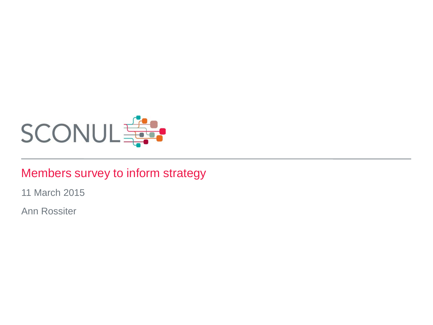

#### Members survey to inform strategy

11 March 2015

Ann Rossiter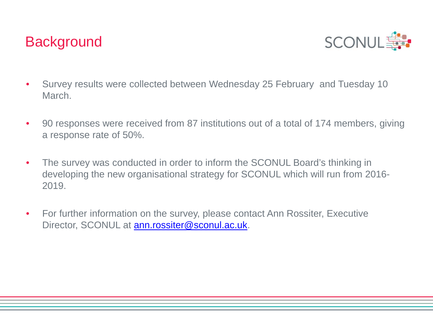## **Background**



- Survey results were collected between Wednesday 25 February and Tuesday 10 March.
- 90 responses were received from 87 institutions out of a total of 174 members, giving a response rate of 50%.
- The survey was conducted in order to inform the SCONUL Board's thinking in developing the new organisational strategy for SCONUL which will run from 2016- 2019.
- For further information on the survey, please contact Ann Rossiter, Executive Director, SCONUL at [ann.rossiter@sconul.ac.uk](mailto:ann.rossiter@sconul.ac.uk).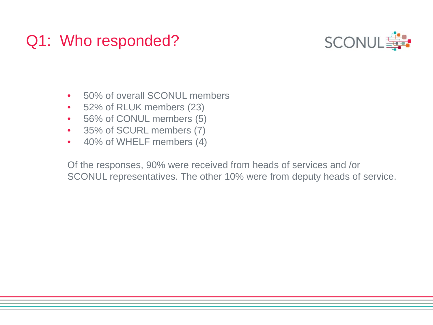# Q1: Who responded?



- 50% of overall SCONUL members
- 52% of RLUK members (23)
- 56% of CONUL members (5)
- 35% of SCURL members (7)
- 40% of WHELF members (4)

Of the responses, 90% were received from heads of services and /or SCONUL representatives. The other 10% were from deputy heads of service.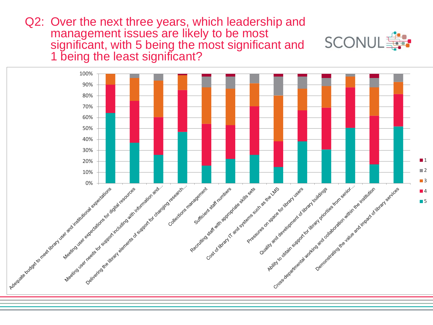Q2: Over the next three years, which leadership and management issues are likely to be most significant, with 5 being the most significant and 1 being the least significant?

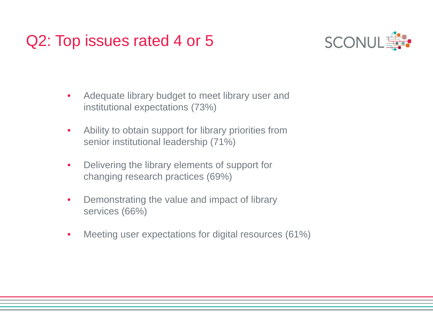# Q2: Top issues rated 4 or 5



- Adequate library budget to meet library user and institutional expectations (73%)
- Ability to obtain support for library priorities from senior institutional leadership (71%)
- Delivering the library elements of support for changing research practices (69%)
- Demonstrating the value and impact of library services (66%)
- Meeting user expectations for digital resources (61%)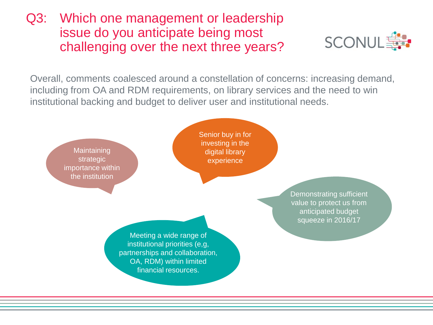### Q3: Which one management or leadership issue do you anticipate being most challenging over the next three years?



Overall, comments coalesced around a constellation of concerns: increasing demand, including from OA and RDM requirements, on library services and the need to win institutional backing and budget to deliver user and institutional needs.

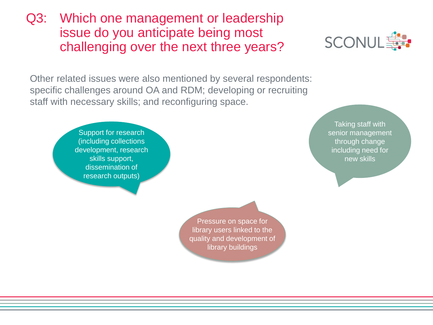Other related issues were also mentioned by several respondents: specific challenges around OA and RDM; developing or recruiting staff with necessary skills; and reconfiguring space.

> Support for research (including collections development, research skills support, dissemination of research outputs)

> > Pressure on space for library users linked to the quality and development of library buildings

**Taking staff with** senior management through change including need for new skills



### Q3: Which one management or leadership issue do you anticipate being most challenging over the next three years?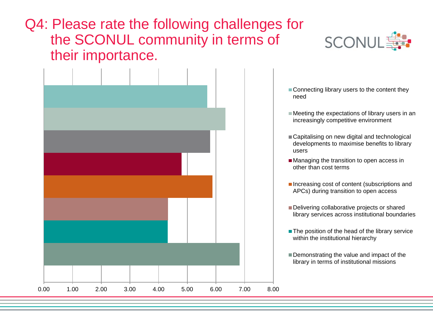### Q4: Please rate the following challenges for the SCONUL community in terms of their importance.





- Connecting library users to the content they
- $\blacksquare$  Meeting the expectations of library users in an increasingly competitive environment
- Capitalising on new digital and technological developments to maximise benefits to library
- **Managing the transition to open access in** other than cost terms
- $\blacksquare$  Increasing cost of content (subscriptions and APCs) during transition to open access
- Delivering collaborative projects or shared library services across institutional boundaries
- The position of the head of the library service within the institutional hierarchy
- Demonstrating the value and impact of the library in terms of institutional missions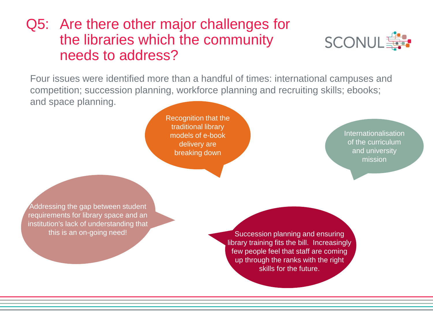## Q5: Are there other major challenges for the libraries which the community needs to address?



Four issues were identified more than a handful of times: international campuses and competition; succession planning, workforce planning and recruiting skills; ebooks; and space planning.

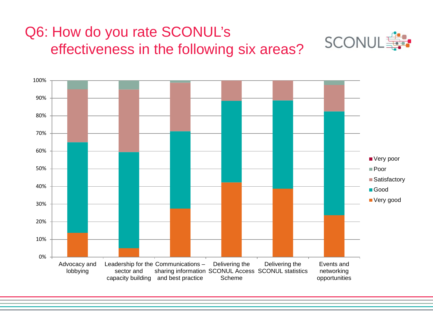# Q6: How do you rate SCONUL's effectiveness in the following six areas?



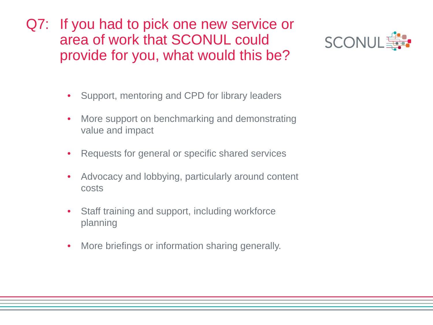Q7: If you had to pick one new service or area of work that SCONUL could provide for you, what would this be?



- Support, mentoring and CPD for library leaders
- More support on benchmarking and demonstrating value and impact
- Requests for general or specific shared services
- Advocacy and lobbying, particularly around content costs
- Staff training and support, including workforce planning
- More briefings or information sharing generally.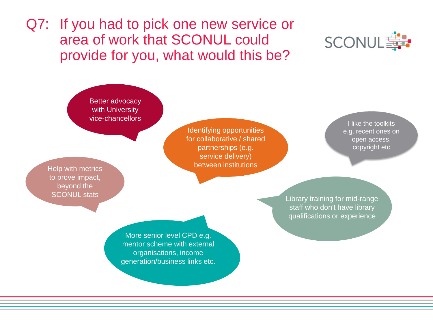Q7: If you had to pick one new service or area of work that SCONUL could provide for you, what would this be?



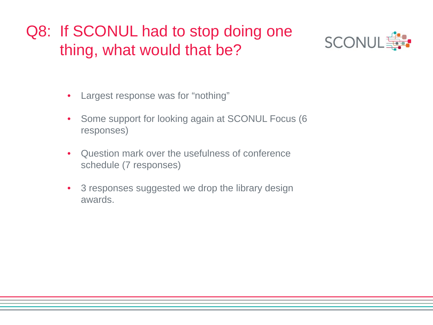# Q8: If SCONUL had to stop doing one thing, what would that be?



- Largest response was for "nothing"
- Some support for looking again at SCONUL Focus (6 responses)
- Question mark over the usefulness of conference schedule (7 responses)
- 3 responses suggested we drop the library design awards.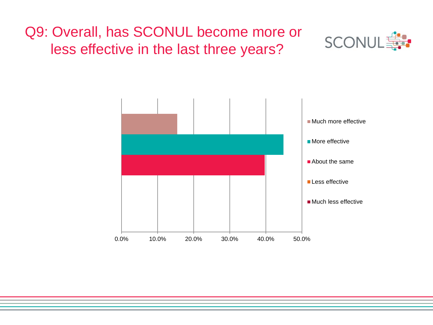## Q9: Overall, has SCONUL become more or less effective in the last three years?